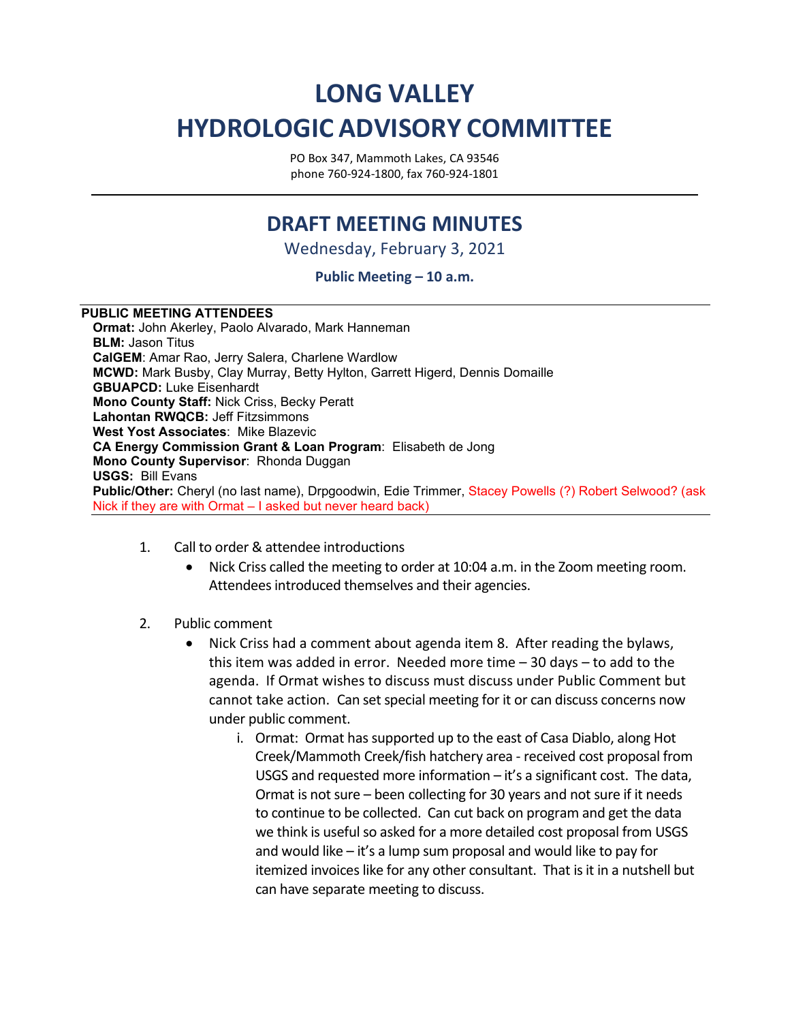## **LONG VALLEY HYDROLOGIC ADVISORY COMMITTEE**

PO Box 347, Mammoth Lakes, CA 93546 phone 760-924-1800, fax 760-924-1801

## **DRAFT MEETING MINUTES**

Wednesday, February 3, 2021

## **Public Meeting – 10 a.m.**

## **PUBLIC MEETING ATTENDEES**

**Ormat:** John Akerley, Paolo Alvarado, Mark Hanneman **BLM:** Jason Titus **CalGEM**: Amar Rao, Jerry Salera, Charlene Wardlow **MCWD:** Mark Busby, Clay Murray, Betty Hylton, Garrett Higerd, Dennis Domaille **GBUAPCD:** Luke Eisenhardt **Mono County Staff:** Nick Criss, Becky Peratt **Lahontan RWQCB:** Jeff Fitzsimmons **West Yost Associates**: Mike Blazevic **CA Energy Commission Grant & Loan Program**: Elisabeth de Jong **Mono County Supervisor**: Rhonda Duggan **USGS:** Bill Evans **Public/Other:** Cheryl (no last name), Drpgoodwin, Edie Trimmer, Stacey Powells (?) Robert Selwood? (ask Nick if they are with Ormat – I asked but never heard back)

- 1. Call to order & attendee introductions
	- Nick Criss called the meeting to order at 10:04 a.m. in the Zoom meeting room. Attendees introduced themselves and their agencies.
- 2. Public comment
	- Nick Criss had a comment about agenda item 8. After reading the bylaws, this item was added in error. Needed more time – 30 days – to add to the agenda. If Ormat wishes to discuss must discuss under Public Comment but cannot take action. Can set special meeting for it or can discuss concerns now under public comment.
		- i. Ormat: Ormat has supported up to the east of Casa Diablo, along Hot Creek/Mammoth Creek/fish hatchery area - received cost proposal from USGS and requested more information – it's a significant cost. The data, Ormat is not sure – been collecting for 30 years and not sure if it needs to continue to be collected. Can cut back on program and get the data we think is useful so asked for a more detailed cost proposal from USGS and would like – it's a lump sum proposal and would like to pay for itemized invoices like for any other consultant. That is it in a nutshell but can have separate meeting to discuss.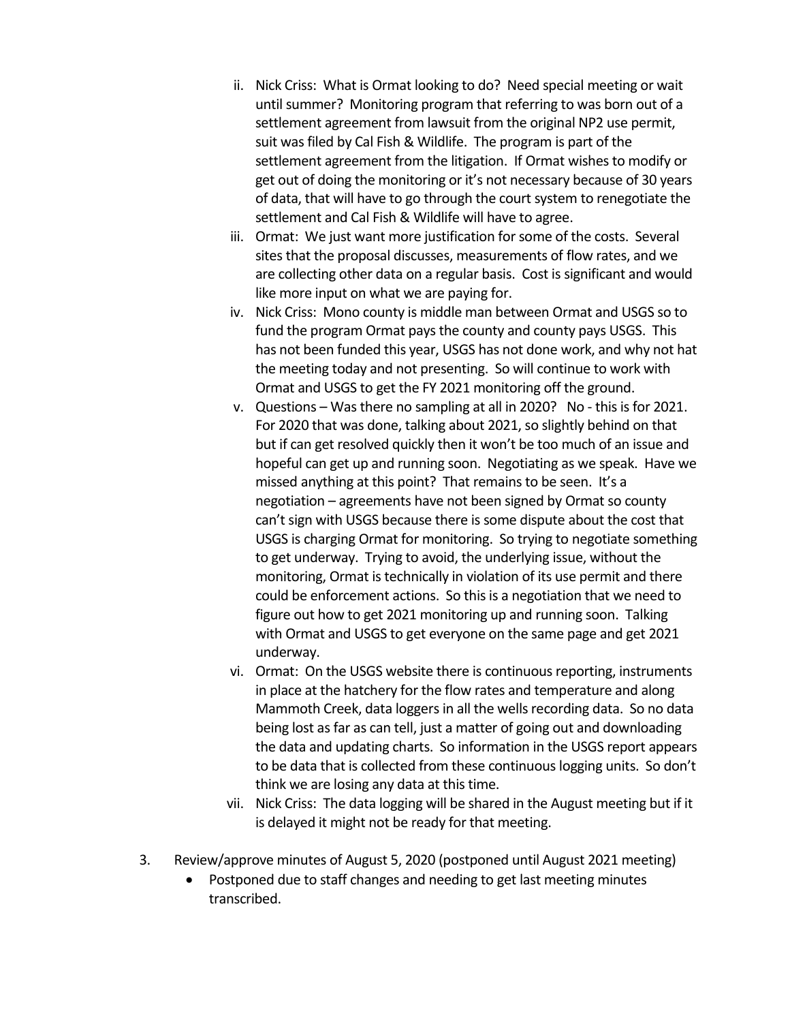- ii. Nick Criss: What is Ormat looking to do? Need special meeting or wait until summer? Monitoring program that referring to was born out of a settlement agreement from lawsuit from the original NP2 use permit, suit was filed by Cal Fish & Wildlife. The program is part of the settlement agreement from the litigation. If Ormat wishes to modify or get out of doing the monitoring or it's not necessary because of 30 years of data, that will have to go through the court system to renegotiate the settlement and Cal Fish & Wildlife will have to agree.
- iii. Ormat: We just want more justification for some of the costs. Several sites that the proposal discusses, measurements of flow rates, and we are collecting other data on a regular basis. Cost is significant and would like more input on what we are paying for.
- iv. Nick Criss: Mono county is middle man between Ormat and USGS so to fund the program Ormat pays the county and county pays USGS. This has not been funded this year, USGS has not done work, and why not hat the meeting today and not presenting. So will continue to work with Ormat and USGS to get the FY 2021 monitoring off the ground.
- v. Questions Was there no sampling at all in 2020? No this is for 2021. For 2020 that was done, talking about 2021, so slightly behind on that but if can get resolved quickly then it won't be too much of an issue and hopeful can get up and running soon. Negotiating as we speak. Have we missed anything at this point? That remains to be seen. It's a negotiation – agreements have not been signed by Ormat so county can't sign with USGS because there is some dispute about the cost that USGS is charging Ormat for monitoring. So trying to negotiate something to get underway. Trying to avoid, the underlying issue, without the monitoring, Ormat is technically in violation of its use permit and there could be enforcement actions. So this is a negotiation that we need to figure out how to get 2021 monitoring up and running soon. Talking with Ormat and USGS to get everyone on the same page and get 2021 underway.
- vi. Ormat: On the USGS website there is continuous reporting, instruments in place at the hatchery for the flow rates and temperature and along Mammoth Creek, data loggers in all the wells recording data. So no data being lost as far as can tell, just a matter of going out and downloading the data and updating charts. So information in the USGS report appears to be data that is collected from these continuous logging units. So don't think we are losing any data at this time.
- vii. Nick Criss: The data logging will be shared in the August meeting but if it is delayed it might not be ready for that meeting.
- 3. Review/approve minutes of August 5, 2020 (postponed until August 2021 meeting)
	- Postponed due to staff changes and needing to get last meeting minutes transcribed.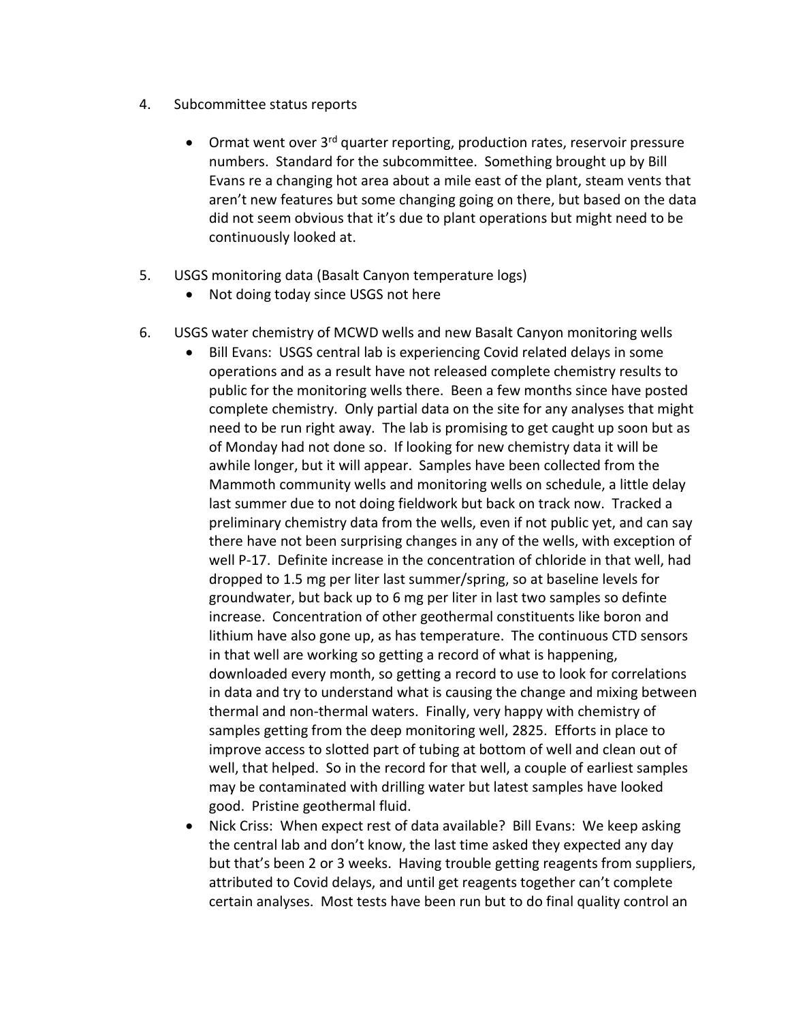- 4. Subcommittee status reports
	- Ormat went over 3<sup>rd</sup> quarter reporting, production rates, reservoir pressure numbers. Standard for the subcommittee. Something brought up by Bill Evans re a changing hot area about a mile east of the plant, steam vents that aren't new features but some changing going on there, but based on the data did not seem obvious that it's due to plant operations but might need to be continuously looked at.
- 5. USGS monitoring data (Basalt Canyon temperature logs)
	- Not doing today since USGS not here
- 6. USGS water chemistry of MCWD wells and new Basalt Canyon monitoring wells
	- Bill Evans: USGS central lab is experiencing Covid related delays in some operations and as a result have not released complete chemistry results to public for the monitoring wells there. Been a few months since have posted complete chemistry. Only partial data on the site for any analyses that might need to be run right away. The lab is promising to get caught up soon but as of Monday had not done so. If looking for new chemistry data it will be awhile longer, but it will appear. Samples have been collected from the Mammoth community wells and monitoring wells on schedule, a little delay last summer due to not doing fieldwork but back on track now. Tracked a preliminary chemistry data from the wells, even if not public yet, and can say there have not been surprising changes in any of the wells, with exception of well P-17. Definite increase in the concentration of chloride in that well, had dropped to 1.5 mg per liter last summer/spring, so at baseline levels for groundwater, but back up to 6 mg per liter in last two samples so definte increase. Concentration of other geothermal constituents like boron and lithium have also gone up, as has temperature. The continuous CTD sensors in that well are working so getting a record of what is happening, downloaded every month, so getting a record to use to look for correlations in data and try to understand what is causing the change and mixing between thermal and non-thermal waters. Finally, very happy with chemistry of samples getting from the deep monitoring well, 2825. Efforts in place to improve access to slotted part of tubing at bottom of well and clean out of well, that helped. So in the record for that well, a couple of earliest samples may be contaminated with drilling water but latest samples have looked good. Pristine geothermal fluid.
	- Nick Criss: When expect rest of data available? Bill Evans: We keep asking the central lab and don't know, the last time asked they expected any day but that's been 2 or 3 weeks. Having trouble getting reagents from suppliers, attributed to Covid delays, and until get reagents together can't complete certain analyses. Most tests have been run but to do final quality control an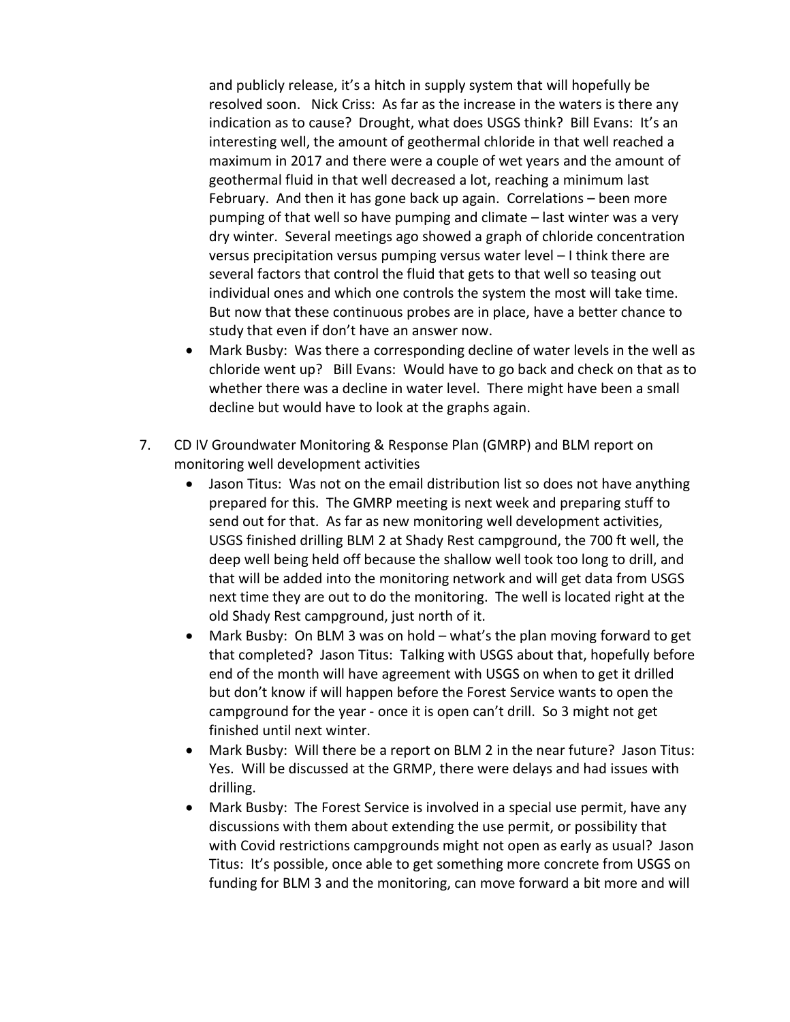and publicly release, it's a hitch in supply system that will hopefully be resolved soon. Nick Criss: As far as the increase in the waters is there any indication as to cause? Drought, what does USGS think? Bill Evans: It's an interesting well, the amount of geothermal chloride in that well reached a maximum in 2017 and there were a couple of wet years and the amount of geothermal fluid in that well decreased a lot, reaching a minimum last February. And then it has gone back up again. Correlations – been more pumping of that well so have pumping and climate – last winter was a very dry winter. Several meetings ago showed a graph of chloride concentration versus precipitation versus pumping versus water level – I think there are several factors that control the fluid that gets to that well so teasing out individual ones and which one controls the system the most will take time. But now that these continuous probes are in place, have a better chance to study that even if don't have an answer now.

- Mark Busby: Was there a corresponding decline of water levels in the well as chloride went up? Bill Evans: Would have to go back and check on that as to whether there was a decline in water level. There might have been a small decline but would have to look at the graphs again.
- 7. CD IV Groundwater Monitoring & Response Plan (GMRP) and BLM report on monitoring well development activities
	- Jason Titus: Was not on the email distribution list so does not have anything prepared for this. The GMRP meeting is next week and preparing stuff to send out for that. As far as new monitoring well development activities, USGS finished drilling BLM 2 at Shady Rest campground, the 700 ft well, the deep well being held off because the shallow well took too long to drill, and that will be added into the monitoring network and will get data from USGS next time they are out to do the monitoring. The well is located right at the old Shady Rest campground, just north of it.
	- Mark Busby: On BLM 3 was on hold what's the plan moving forward to get that completed? Jason Titus: Talking with USGS about that, hopefully before end of the month will have agreement with USGS on when to get it drilled but don't know if will happen before the Forest Service wants to open the campground for the year - once it is open can't drill. So 3 might not get finished until next winter.
	- Mark Busby: Will there be a report on BLM 2 in the near future? Jason Titus: Yes. Will be discussed at the GRMP, there were delays and had issues with drilling.
	- Mark Busby: The Forest Service is involved in a special use permit, have any discussions with them about extending the use permit, or possibility that with Covid restrictions campgrounds might not open as early as usual? Jason Titus: It's possible, once able to get something more concrete from USGS on funding for BLM 3 and the monitoring, can move forward a bit more and will